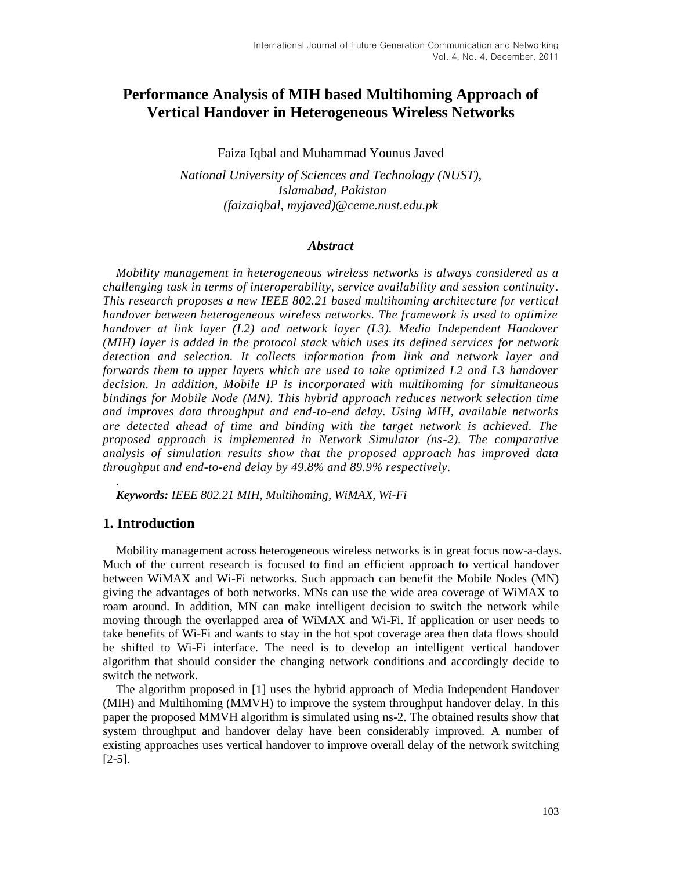# **Performance Analysis of MIH based Multihoming Approach of Vertical Handover in Heterogeneous Wireless Networks**

Faiza Iqbal and Muhammad Younus Javed

*National University of Sciences and Technology (NUST), Islamabad, Pakistan (faizaiqbal, myjaved)@ceme.nust.edu.pk*

#### *Abstract*

*Mobility management in heterogeneous wireless networks is always considered as a challenging task in terms of interoperability, service availability and session continuity. This research proposes a new IEEE 802.21 based multihoming architecture for vertical handover between heterogeneous wireless networks. The framework is used to optimize handover at link layer (L2) and network layer (L3). Media Independent Handover (MIH) layer is added in the protocol stack which uses its defined services for network detection and selection. It collects information from link and network layer and forwards them to upper layers which are used to take optimized L2 and L3 handover decision. In addition, Mobile IP is incorporated with multihoming for simultaneous bindings for Mobile Node (MN). This hybrid approach reduces network selection time and improves data throughput and end-to-end delay. Using MIH, available networks are detected ahead of time and binding with the target network is achieved. The proposed approach is implemented in Network Simulator (ns-2). The comparative analysis of simulation results show that the proposed approach has improved data throughput and end-to-end delay by 49.8% and 89.9% respectively.* 

*Keywords: IEEE 802.21 MIH, Multihoming, WiMAX, Wi-Fi*

#### **1. Introduction**

*.*

Mobility management across heterogeneous wireless networks is in great focus now-a-days. Much of the current research is focused to find an efficient approach to vertical handover between WiMAX and Wi-Fi networks. Such approach can benefit the Mobile Nodes (MN) giving the advantages of both networks. MNs can use the wide area coverage of WiMAX to roam around. In addition, MN can make intelligent decision to switch the network while moving through the overlapped area of WiMAX and Wi-Fi. If application or user needs to take benefits of Wi-Fi and wants to stay in the hot spot coverage area then data flows should be shifted to Wi-Fi interface. The need is to develop an intelligent vertical handover algorithm that should consider the changing network conditions and accordingly decide to switch the network.

The algorithm proposed in [1] uses the hybrid approach of Media Independent Handover (MIH) and Multihoming (MMVH) to improve the system throughput handover delay. In this paper the proposed MMVH algorithm is simulated using ns-2. The obtained results show that system throughput and handover delay have been considerably improved. A number of existing approaches uses vertical handover to improve overall delay of the network switching [2-5].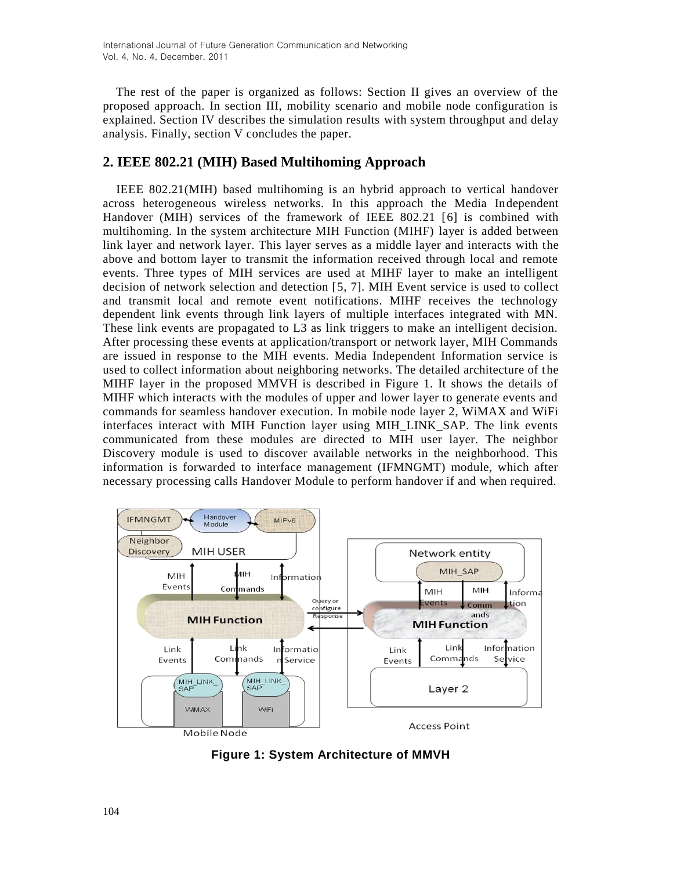The rest of the paper is organized as follows: Section II gives an overview of the proposed approach. In section III, mobility scenario and mobile node configuration is explained. Section IV describes the simulation results with system throughput and delay analysis. Finally, section V concludes the paper.

## **2. IEEE 802.21 (MIH) Based Multihoming Approach**

IEEE 802.21(MIH) based multihoming is an hybrid approach to vertical handover across heterogeneous wireless networks. In this approach the Media Independent Handover (MIH) services of the framework of IEEE 802.21 [6] is combined with multihoming. In the system architecture MIH Function (MIHF) layer is added between link layer and network layer. This layer serves as a middle layer and interacts with the above and bottom layer to transmit the information received through local and remote events. Three types of MIH services are used at MIHF layer to make an intelligent decision of network selection and detection [5, 7]. MIH Event service is used to collect and transmit local and remote event notifications. MIHF receives the technology dependent link events through link layers of multiple interfaces integrated with MN. These link events are propagated to L3 as link triggers to make an intelligent decision. After processing these events at application/transport or network layer, MIH Commands are issued in response to the MIH events. Media Independent Information service is used to collect information about neighboring networks. The detailed architecture of the MIHF layer in the proposed MMVH is described in Figure 1. It shows the details of MIHF which interacts with the modules of upper and lower layer to generate events and commands for seamless handover execution. In mobile node layer 2, WiMAX and WiFi interfaces interact with MIH Function layer using MIH\_LINK\_SAP. The link events communicated from these modules are directed to MIH user layer. The neighbor Discovery module is used to discover available networks in the neighborhood. This information is forwarded to interface management (IFMNGMT) module, which after necessary processing calls Handover Module to perform handover if and when required.



**Figure 1: System Architecture of MMVH**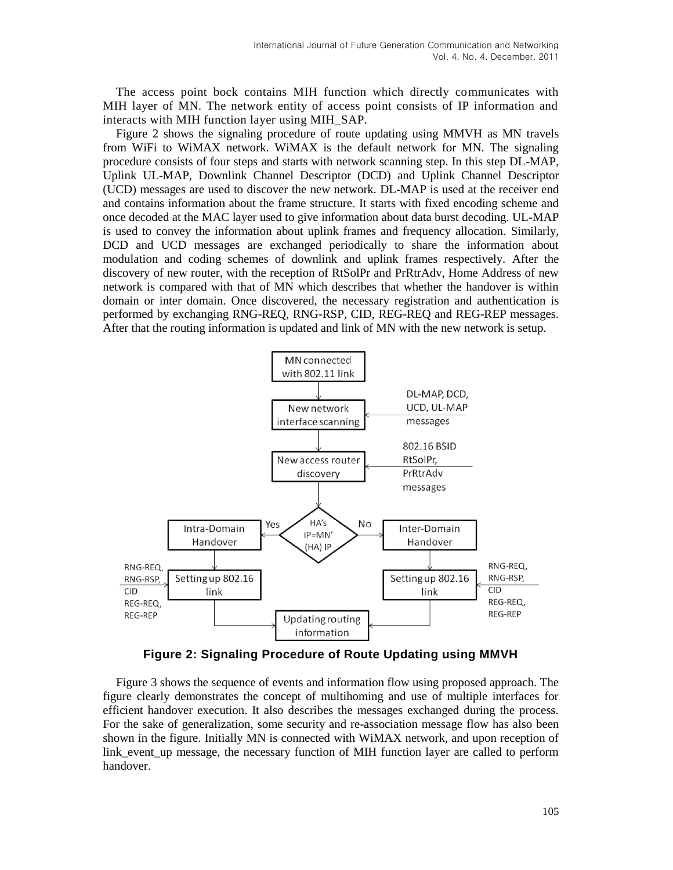The access point bock contains MIH function which directly communicates with MIH layer of MN. The network entity of access point consists of IP information and interacts with MIH function layer using MIH\_SAP.

Figure 2 shows the signaling procedure of route updating using MMVH as MN travels from WiFi to WiMAX network. WiMAX is the default network for MN. The signaling procedure consists of four steps and starts with network scanning step. In this step DL-MAP, Uplink UL-MAP, Downlink Channel Descriptor (DCD) and Uplink Channel Descriptor (UCD) messages are used to discover the new network. DL-MAP is used at the receiver end and contains information about the frame structure. It starts with fixed encoding scheme and once decoded at the MAC layer used to give information about data burst decoding. UL-MAP is used to convey the information about uplink frames and frequency allocation. Similarly, DCD and UCD messages are exchanged periodically to share the information about modulation and coding schemes of downlink and uplink frames respectively. After the discovery of new router, with the reception of RtSolPr and PrRtrAdv, Home Address of new network is compared with that of MN which describes that whether the handover is within domain or inter domain. Once discovered, the necessary registration and authentication is performed by exchanging RNG-REQ, RNG-RSP, CID, REG-REQ and REG-REP messages. After that the routing information is updated and link of MN with the new network is setup.



**Figure 2: Signaling Procedure of Route Updating using MMVH**

Figure 3 shows the sequence of events and information flow using proposed approach. The figure clearly demonstrates the concept of multihoming and use of multiple interfaces for efficient handover execution. It also describes the messages exchanged during the process. For the sake of generalization, some security and re-association message flow has also been shown in the figure. Initially MN is connected with WiMAX network, and upon reception of link\_event\_up message, the necessary function of MIH function layer are called to perform handover.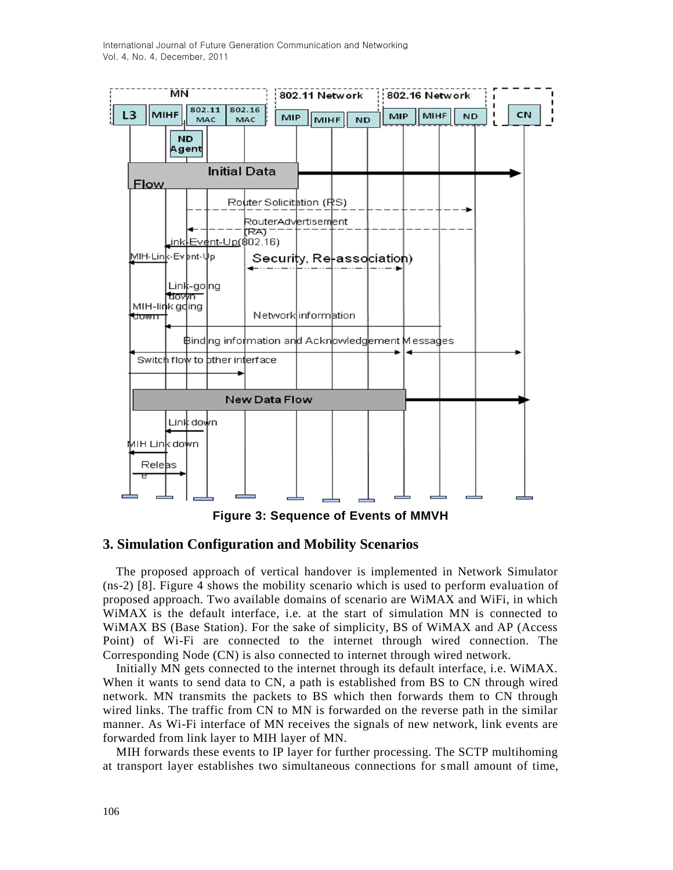International Journal of Future Generation Communication and Networking Vol. 4, No. 4, December, 2011



**Figure 3: Sequence of Events of MMVH**

### **3. Simulation Configuration and Mobility Scenarios**

The proposed approach of vertical handover is implemented in Network Simulator (ns-2) [8]. Figure 4 shows the mobility scenario which is used to perform evaluation of proposed approach. Two available domains of scenario are WiMAX and WiFi, in which WiMAX is the default interface, i.e. at the start of simulation MN is connected to WiMAX BS (Base Station). For the sake of simplicity, BS of WiMAX and AP (Access Point) of Wi-Fi are connected to the internet through wired connection. The Corresponding Node (CN) is also connected to internet through wired network.

Initially MN gets connected to the internet through its default interface, i.e. WiMAX. When it wants to send data to CN, a path is established from BS to CN through wired network. MN transmits the packets to BS which then forwards them to CN through wired links. The traffic from CN to MN is forwarded on the reverse path in the similar manner. As Wi-Fi interface of MN receives the signals of new network, link events are forwarded from link layer to MIH layer of MN.

MIH forwards these events to IP layer for further processing. The SCTP multihoming at transport layer establishes two simultaneous connections for small amount of time,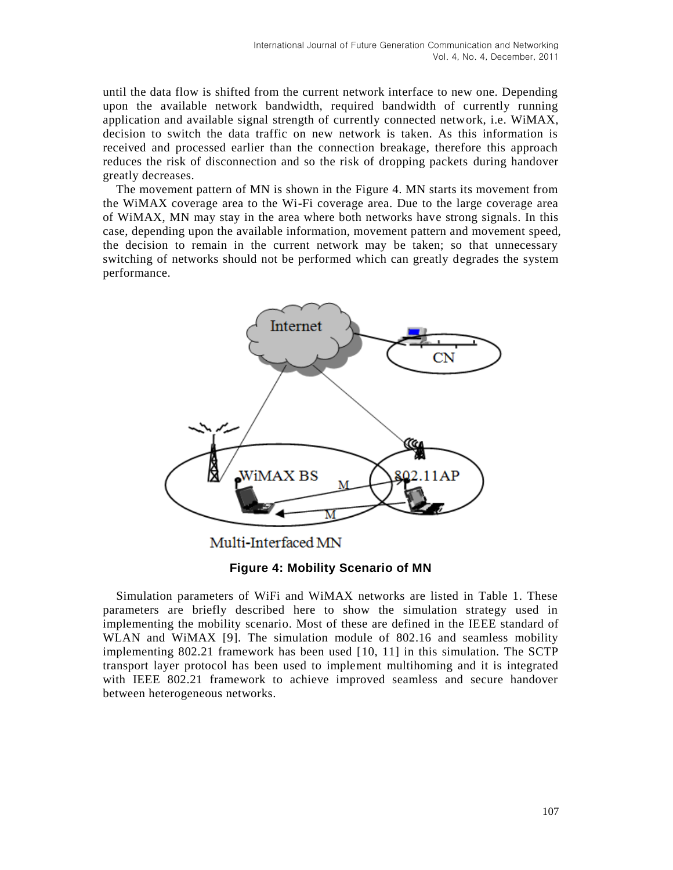until the data flow is shifted from the current network interface to new one. Depending upon the available network bandwidth, required bandwidth of currently running application and available signal strength of currently connected network, i.e. WiMAX, decision to switch the data traffic on new network is taken. As this information is received and processed earlier than the connection breakage, therefore this approach reduces the risk of disconnection and so the risk of dropping packets during handover greatly decreases.

The movement pattern of MN is shown in the Figure 4. MN starts its movement from the WiMAX coverage area to the Wi-Fi coverage area. Due to the large coverage area of WiMAX, MN may stay in the area where both networks have strong signals. In this case, depending upon the available information, movement pattern and movement speed, the decision to remain in the current network may be taken; so that unnecessary switching of networks should not be performed which can greatly degrades the system performance.



**Figure 4: Mobility Scenario of MN**

Simulation parameters of WiFi and WiMAX networks are listed in Table 1. These parameters are briefly described here to show the simulation strategy used in implementing the mobility scenario. Most of these are defined in the IEEE standard of WLAN and WiMAX [9]. The simulation module of 802.16 and seamless mobility implementing 802.21 framework has been used [10, 11] in this simulation. The SCTP transport layer protocol has been used to implement multihoming and it is integrated with IEEE 802.21 framework to achieve improved seamless and secure handover between heterogeneous networks.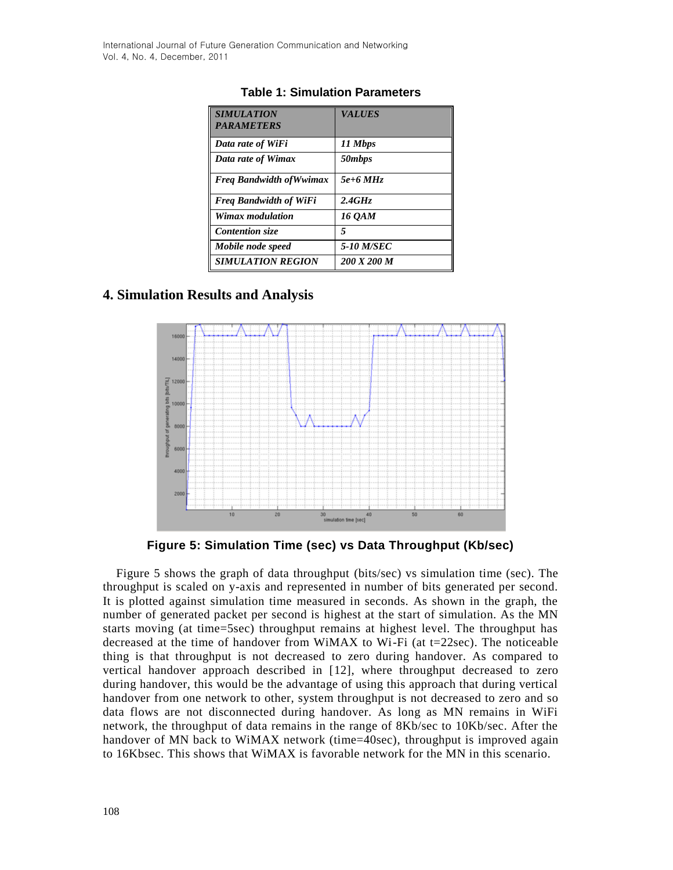| <b>SIMULATION</b><br><b>PARAMETERS</b> | <b>VALUES</b>     |
|----------------------------------------|-------------------|
| Data rate of WiFi                      | 11 Mbps           |
| Data rate of Wimax                     | 50mbps            |
| <b>Freg Bandwidth of Wwimax</b>        | $5e+6 MHz$        |
| <b>Freg Bandwidth of WiFi</b>          | 2.4GHz            |
| Wimax modulation                       | 16 OAM            |
| <b>Contention</b> size                 | 5                 |
| Mobile node speed                      | <b>5-10 M/SEC</b> |
| <b>SIMULATION REGION</b>               | 200 X 200 M       |

**Table 1: Simulation Parameters**

## **4. Simulation Results and Analysis**



**Figure 5: Simulation Time (sec) vs Data Throughput (Kb/sec)**

Figure 5 shows the graph of data throughput (bits/sec) vs simulation time (sec). The throughput is scaled on y-axis and represented in number of bits generated per second. It is plotted against simulation time measured in seconds. As shown in the graph, the number of generated packet per second is highest at the start of simulation. As the MN starts moving (at time=5sec) throughput remains at highest level. The throughput has decreased at the time of handover from WiMAX to Wi-Fi (at t=22sec). The noticeable thing is that throughput is not decreased to zero during handover. As compared to vertical handover approach described in [12], where throughput decreased to zero during handover, this would be the advantage of using this approach that during vertical handover from one network to other, system throughput is not decreased to zero and so data flows are not disconnected during handover. As long as MN remains in WiFi network, the throughput of data remains in the range of 8Kb/sec to 10Kb/sec. After the handover of MN back to WiMAX network (time=40sec), throughput is improved again to 16Kbsec. This shows that WiMAX is favorable network for the MN in this scenario.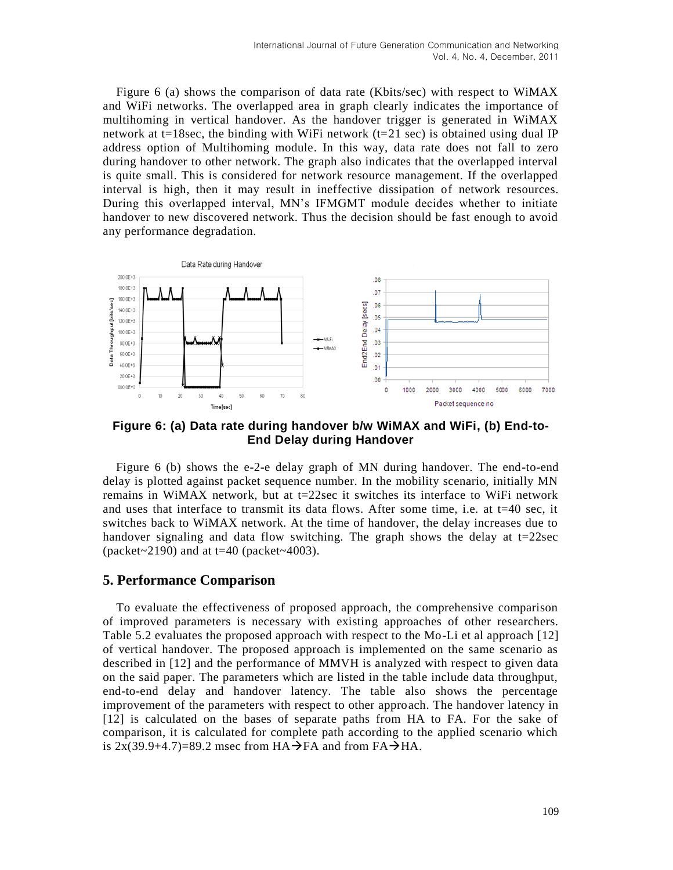Figure 6 (a) shows the comparison of data rate (Kbits/sec) with respect to WiMAX and WiFi networks. The overlapped area in graph clearly indicates the importance of multihoming in vertical handover. As the handover trigger is generated in WiMAX network at  $t=18$ sec, the binding with WiFi network  $(t=21 \text{ sec})$  is obtained using dual IP address option of Multihoming module. In this way, data rate does not fall to zero during handover to other network. The graph also indicates that the overlapped interval is quite small. This is considered for network resource management. If the overlapped interval is high, then it may result in ineffective dissipation of network resources. During this overlapped interval, MN's IFMGMT module decides whether to initiate handover to new discovered network. Thus the decision should be fast enough to avoid any performance degradation.



**Figure 6: (a) Data rate during handover b/w WiMAX and WiFi, (b) End-to-End Delay during Handover**

Figure 6 (b) shows the e-2-e delay graph of MN during handover. The end-to-end delay is plotted against packet sequence number. In the mobility scenario, initially MN remains in WiMAX network, but at t=22sec it switches its interface to WiFi network and uses that interface to transmit its data flows. After some time, i.e. at t=40 sec, it switches back to WiMAX network. At the time of handover, the delay increases due to handover signaling and data flow switching. The graph shows the delay at t=22sec (packet $\sim$ 2190) and at t=40 (packet $\sim$ 4003).

#### **5. Performance Comparison**

To evaluate the effectiveness of proposed approach, the comprehensive comparison of improved parameters is necessary with existing approaches of other researchers. Table 5.2 evaluates the proposed approach with respect to the Mo-Li et al approach [12] of vertical handover. The proposed approach is implemented on the same scenario as described in [12] and the performance of MMVH is analyzed with respect to given data on the said paper. The parameters which are listed in the table include data throughput, end-to-end delay and handover latency. The table also shows the percentage improvement of the parameters with respect to other approach. The handover latency in [12] is calculated on the bases of separate paths from HA to FA. For the sake of comparison, it is calculated for complete path according to the applied scenario which is  $2x(39.9+4.7)=89.2$  msec from HA $\rightarrow$ FA and from FA $\rightarrow$ HA.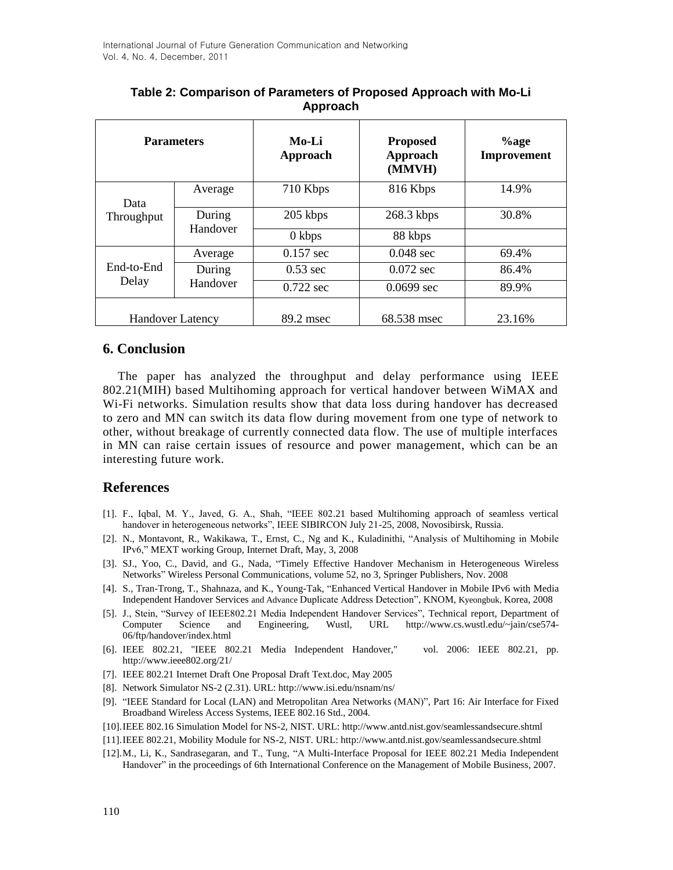| <b>Parameters</b>       |                    | Mo-Li<br>Approach   | <b>Proposed</b><br>Approach<br>(MMVH) | $\%$ age<br>Improvement |
|-------------------------|--------------------|---------------------|---------------------------------------|-------------------------|
| Data<br>Throughput      | Average            | 710 Kbps            | 816 Kbps                              | 14.9%                   |
|                         | During<br>Handover | 205 kbps            | 268.3 kbps                            | 30.8%                   |
|                         |                    | 0 kbps              | 88 kbps                               |                         |
| End-to-End<br>Delay     | Average            | $0.157 \text{ sec}$ | $0.048$ sec                           | 69.4%                   |
|                         | During             | $0.53$ sec          | $0.072$ sec                           | 86.4%                   |
|                         | Handover           | $0.722$ sec         | $0.0699$ sec                          | 89.9%                   |
| <b>Handover Latency</b> |                    | 89.2 msec           | 68.538 msec                           | 23.16%                  |

### **Table 2: Comparison of Parameters of Proposed Approach with Mo-Li Approach**

#### **6. Conclusion**

The paper has analyzed the throughput and delay performance using IEEE 802.21(MIH) based Multihoming approach for vertical handover between WiMAX and Wi-Fi networks. Simulation results show that data loss during handover has decreased to zero and MN can switch its data flow during movement from one type of network to other, without breakage of currently connected data flow. The use of multiple interfaces in MN can raise certain issues of resource and power management, which can be an interesting future work.

### **References**

- [1]. F., Iqbal, M. Y., Javed, G. A., Shah, "IEEE 802.21 based Multihoming approach of seamless vertical handover in heterogeneous networks", IEEE SIBIRCON July 21-25, 2008, Novosibirsk, Russia.
- [2]. N., Montavont, R., Wakikawa, T., Ernst, C., Ng and K., Kuladinithi, "Analysis of Multihoming in Mobile IPv6," MEXT working Group, Internet Draft, May, 3, 2008
- [3]. SJ., Yoo, C., David, and G., Nada, "Timely Effective Handover Mechanism in Heterogeneous Wireless Networks" Wireless Personal Communications, volume 52, no 3, Springer Publishers, Nov. 2008
- [4]. S., Tran-Trong, T., Shahnaza, and K., Young-Tak, "Enhanced Vertical Handover in Mobile IPv6 with Media Independent Handover Services and Advance Duplicate Address Detection", KNOM, Kyeongbuk, Korea, 2008
- [5]. J., Stein, "Survey of IEEE802.21 Media Independent Handover Services", Technical report, Department of Computer Science and Engineering, Wustl, URL [http://www.cs.wustl.edu/~jain/cse574-](http://www.cs.wustl.edu/~jain/cse574-06/ftp/handover/index.html) [06/ftp/handover/index.html](http://www.cs.wustl.edu/~jain/cse574-06/ftp/handover/index.html)
- [6]. IEEE 802.21, "IEEE 802.21 Media Independent Handover," vol. 2006: IEEE 802.21, pp. <http://www.ieee802.org/21/>
- [7]. IEEE 802.21 Internet Draft One Proposal Draft Text.doc, May 2005
- [8]. Network Simulator NS-2 (2.31). URL[: http://www.isi.edu/nsnam/ns/](http://www.isi.edu/nsnam/ns/)
- [9]. "IEEE Standard for Local (LAN) and Metropolitan Area Networks (MAN)", Part 16: Air Interface for Fixed Broadband Wireless Access Systems, IEEE 802.16 Std., 2004.
- [10].IEEE 802.16 Simulation Model for NS-2, NIST. URL[: http://www.antd.nist.gov/seamlessandsecure.shtml](http://www.antd.nist.gov/seamlessandsecure.shtml)
- [11].IEEE 802.21, Mobility Module for NS-2, NIST. URL:<http://www.antd.nist.gov/seamlessandsecure.shtml>
- [12].M., Li, K., Sandrasegaran, and T., Tung, "A Multi-Interface Proposal for IEEE 802.21 Media Independent Handover" in the proceedings of 6th International Conference on the Management of Mobile Business, 2007.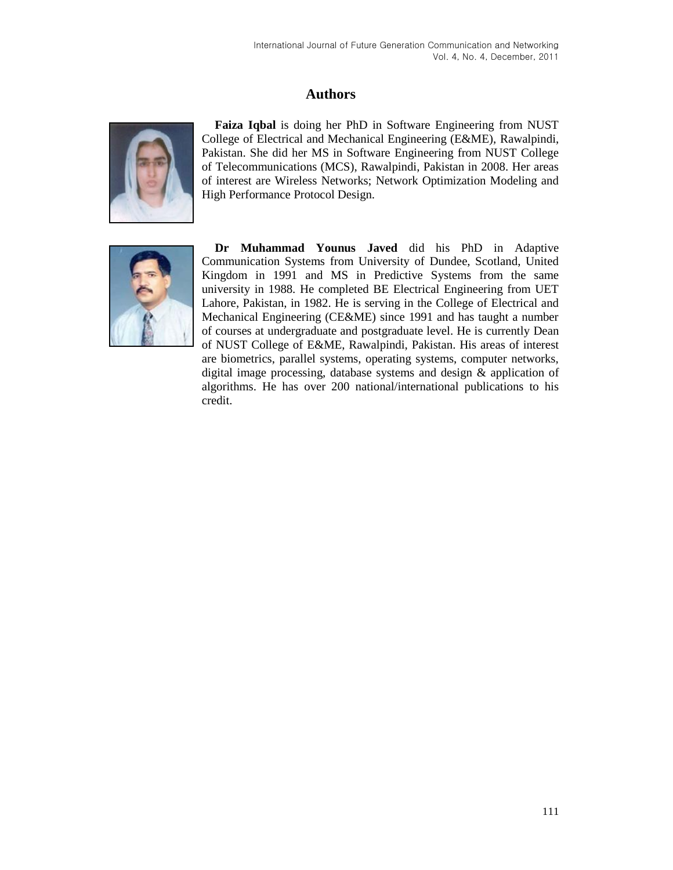## **Authors**



**Faiza Iqbal** is doing her PhD in Software Engineering from NUST College of Electrical and Mechanical Engineering (E&ME), Rawalpindi, Pakistan. She did her MS in Software Engineering from NUST College of Telecommunications (MCS), Rawalpindi, Pakistan in 2008. Her areas of interest are Wireless Networks; Network Optimization Modeling and High Performance Protocol Design.



**Dr Muhammad Younus Javed** did his PhD in Adaptive Communication Systems from University of Dundee, Scotland, United Kingdom in 1991 and MS in Predictive Systems from the same university in 1988. He completed BE Electrical Engineering from UET Lahore, Pakistan, in 1982. He is serving in the College of Electrical and Mechanical Engineering (CE&ME) since 1991 and has taught a number of courses at undergraduate and postgraduate level. He is currently Dean of NUST College of E&ME, Rawalpindi, Pakistan. His areas of interest are biometrics, parallel systems, operating systems, computer networks, digital image processing, database systems and design & application of algorithms. He has over 200 national/international publications to his credit.